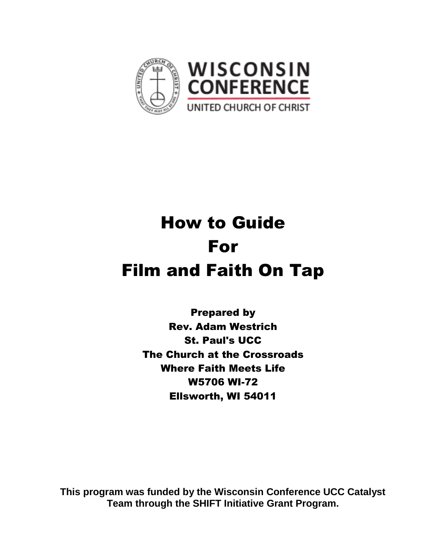

# How to Guide For Film and Faith On Tap

Prepared by Rev. Adam Westrich St. Paul's UCC The Church at the Crossroads Where Faith Meets Life W5706 WI-72 Ellsworth, WI 54011

**This program was funded by the Wisconsin Conference UCC Catalyst Team through the SHIFT Initiative Grant Program.**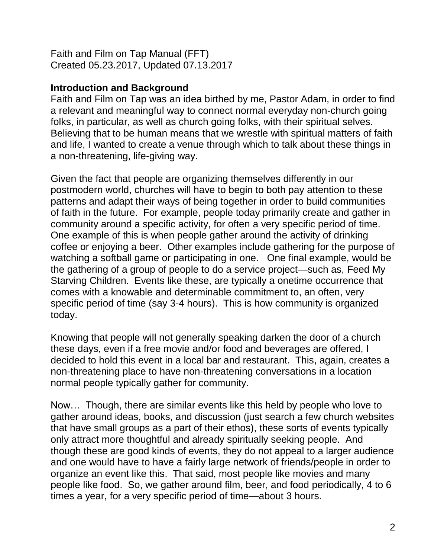Faith and Film on Tap Manual (FFT) Created 05.23.2017, Updated 07.13.2017

# **Introduction and Background**

Faith and Film on Tap was an idea birthed by me, Pastor Adam, in order to find a relevant and meaningful way to connect normal everyday non-church going folks, in particular, as well as church going folks, with their spiritual selves. Believing that to be human means that we wrestle with spiritual matters of faith and life, I wanted to create a venue through which to talk about these things in a non-threatening, life-giving way.

Given the fact that people are organizing themselves differently in our postmodern world, churches will have to begin to both pay attention to these patterns and adapt their ways of being together in order to build communities of faith in the future. For example, people today primarily create and gather in community around a specific activity, for often a very specific period of time. One example of this is when people gather around the activity of drinking coffee or enjoying a beer. Other examples include gathering for the purpose of watching a softball game or participating in one. One final example, would be the gathering of a group of people to do a service project—such as, Feed My Starving Children. Events like these, are typically a onetime occurrence that comes with a knowable and determinable commitment to, an often, very specific period of time (say 3-4 hours). This is how community is organized today.

Knowing that people will not generally speaking darken the door of a church these days, even if a free movie and/or food and beverages are offered, I decided to hold this event in a local bar and restaurant. This, again, creates a non-threatening place to have non-threatening conversations in a location normal people typically gather for community.

Now… Though, there are similar events like this held by people who love to gather around ideas, books, and discussion (just search a few church websites that have small groups as a part of their ethos), these sorts of events typically only attract more thoughtful and already spiritually seeking people. And though these are good kinds of events, they do not appeal to a larger audience and one would have to have a fairly large network of friends/people in order to organize an event like this. That said, most people like movies and many people like food. So, we gather around film, beer, and food periodically, 4 to 6 times a year, for a very specific period of time—about 3 hours.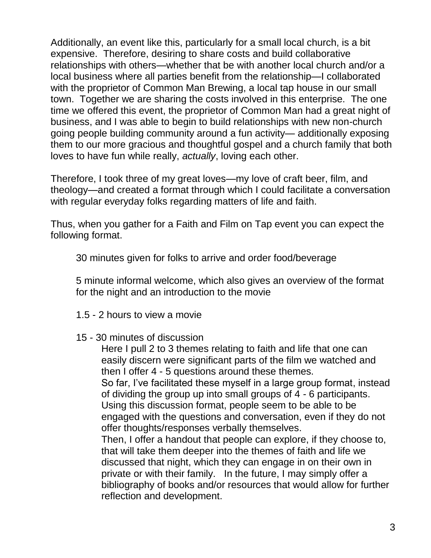Additionally, an event like this, particularly for a small local church, is a bit expensive. Therefore, desiring to share costs and build collaborative relationships with others—whether that be with another local church and/or a local business where all parties benefit from the relationship—I collaborated with the proprietor of Common Man Brewing, a local tap house in our small town. Together we are sharing the costs involved in this enterprise. The one time we offered this event, the proprietor of Common Man had a great night of business, and I was able to begin to build relationships with new non-church going people building community around a fun activity— additionally exposing them to our more gracious and thoughtful gospel and a church family that both loves to have fun while really, *actually*, loving each other.

Therefore, I took three of my great loves—my love of craft beer, film, and theology—and created a format through which I could facilitate a conversation with regular everyday folks regarding matters of life and faith.

Thus, when you gather for a Faith and Film on Tap event you can expect the following format.

30 minutes given for folks to arrive and order food/beverage

5 minute informal welcome, which also gives an overview of the format for the night and an introduction to the movie

- 1.5 2 hours to view a movie
- 15 30 minutes of discussion

Here I pull 2 to 3 themes relating to faith and life that one can easily discern were significant parts of the film we watched and then I offer 4 - 5 questions around these themes.

So far, I've facilitated these myself in a large group format, instead of dividing the group up into small groups of 4 - 6 participants. Using this discussion format, people seem to be able to be engaged with the questions and conversation, even if they do not offer thoughts/responses verbally themselves.

Then, I offer a handout that people can explore, if they choose to, that will take them deeper into the themes of faith and life we discussed that night, which they can engage in on their own in private or with their family. In the future, I may simply offer a bibliography of books and/or resources that would allow for further reflection and development.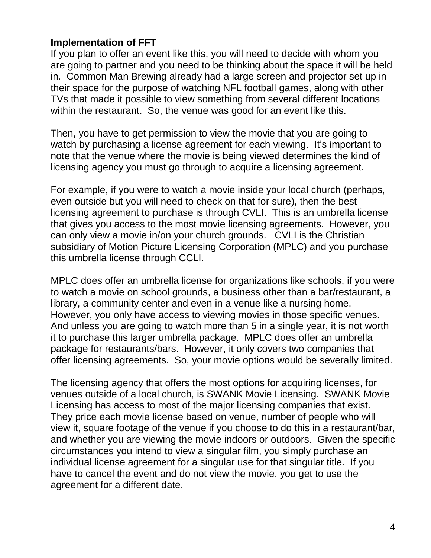## **Implementation of FFT**

If you plan to offer an event like this, you will need to decide with whom you are going to partner and you need to be thinking about the space it will be held in. Common Man Brewing already had a large screen and projector set up in their space for the purpose of watching NFL football games, along with other TVs that made it possible to view something from several different locations within the restaurant. So, the venue was good for an event like this.

Then, you have to get permission to view the movie that you are going to watch by purchasing a license agreement for each viewing. It's important to note that the venue where the movie is being viewed determines the kind of licensing agency you must go through to acquire a licensing agreement.

For example, if you were to watch a movie inside your local church (perhaps, even outside but you will need to check on that for sure), then the best licensing agreement to purchase is through CVLI. This is an umbrella license that gives you access to the most movie licensing agreements. However, you can only view a movie in/on your church grounds. CVLI is the Christian subsidiary of Motion Picture Licensing Corporation (MPLC) and you purchase this umbrella license through CCLI.

MPLC does offer an umbrella license for organizations like schools, if you were to watch a movie on school grounds, a business other than a bar/restaurant, a library, a community center and even in a venue like a nursing home. However, you only have access to viewing movies in those specific venues. And unless you are going to watch more than 5 in a single year, it is not worth it to purchase this larger umbrella package. MPLC does offer an umbrella package for restaurants/bars. However, it only covers two companies that offer licensing agreements. So, your movie options would be severally limited.

The licensing agency that offers the most options for acquiring licenses, for venues outside of a local church, is SWANK Movie Licensing. SWANK Movie Licensing has access to most of the major licensing companies that exist. They price each movie license based on venue, number of people who will view it, square footage of the venue if you choose to do this in a restaurant/bar, and whether you are viewing the movie indoors or outdoors. Given the specific circumstances you intend to view a singular film, you simply purchase an individual license agreement for a singular use for that singular title. If you have to cancel the event and do not view the movie, you get to use the agreement for a different date.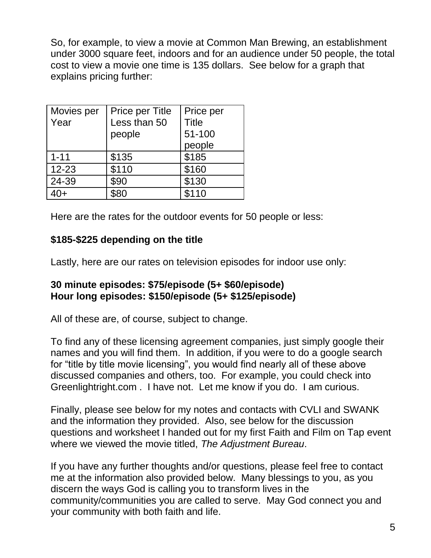So, for example, to view a movie at Common Man Brewing, an establishment under 3000 square feet, indoors and for an audience under 50 people, the total cost to view a movie one time is 135 dollars. See below for a graph that explains pricing further:

| Movies per<br>Year | Price per Title<br>Less than 50<br>people | Price per<br><b>Title</b><br>51-100<br>people |
|--------------------|-------------------------------------------|-----------------------------------------------|
| $1 - 11$           | \$135                                     | \$185                                         |
| $12 - 23$          | \$110                                     | \$160                                         |
| 24-39              | \$90                                      | \$130                                         |
| $40+$              | \$80                                      | \$110                                         |

Here are the rates for the outdoor events for 50 people or less:

# **\$185-\$225 depending on the title**

Lastly, here are our rates on television episodes for indoor use only:

## **30 minute episodes: \$75/episode (5+ \$60/episode) Hour long episodes: \$150/episode (5+ \$125/episode)**

All of these are, of course, subject to change.

To find any of these licensing agreement companies, just simply google their names and you will find them. In addition, if you were to do a google search for "title by title movie licensing", you would find nearly all of these above discussed companies and others, too. For example, you could check into Greenlightright.com . I have not. Let me know if you do. I am curious.

Finally, please see below for my notes and contacts with CVLI and SWANK and the information they provided. Also, see below for the discussion questions and worksheet I handed out for my first Faith and Film on Tap event where we viewed the movie titled, *The Adjustment Bureau*.

If you have any further thoughts and/or questions, please feel free to contact me at the information also provided below. Many blessings to you, as you discern the ways God is calling you to transform lives in the community/communities you are called to serve. May God connect you and your community with both faith and life.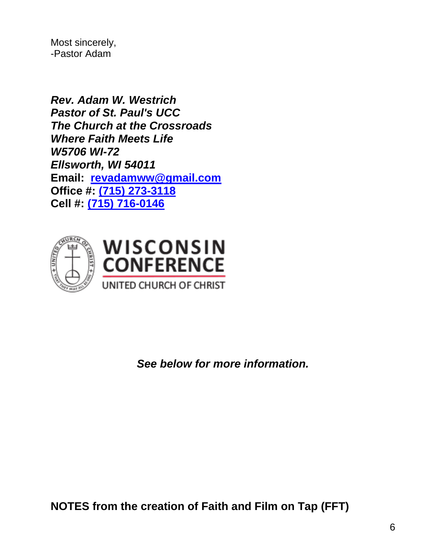Most sincerely, -Pastor Adam

*Rev. Adam W. Westrich Pastor of St. Paul's UCC The Church at the Crossroads Where Faith Meets Life W5706 WI-72 Ellsworth, WI 54011* **Email: [revadamww@gmail.com](mailto:revadamww@gmail.com) Office #: [\(715\) 273-3118](tel:(715)%20273-3118) Cell #: [\(715\) 716-0146](tel:(715)%20716-0146)**





*See below for more information.*

**NOTES from the creation of Faith and Film on Tap (FFT)**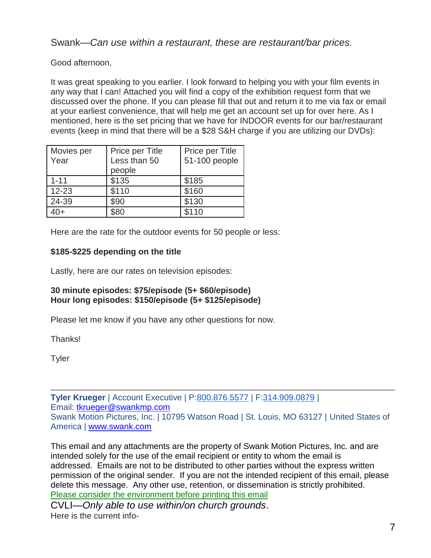Swank—*Can use within a restaurant, these are restaurant/bar prices.*

Good afternoon,

It was great speaking to you earlier. I look forward to helping you with your film events in any way that I can! Attached you will find a copy of the exhibition request form that we discussed over the phone. If you can please fill that out and return it to me via fax or email at your earliest convenience, that will help me get an account set up for over here. As I mentioned, here is the set pricing that we have for INDOOR events for our bar/restaurant events (keep in mind that there will be a \$28 S&H charge if you are utilizing our DVDs):

| Movies per<br>Year | Price per Title<br>Less than 50<br>people | Price per Title<br>51-100 people |
|--------------------|-------------------------------------------|----------------------------------|
| $1 - 11$           | \$135                                     | \$185                            |
| $12 - 23$          | \$110                                     | \$160                            |
| 24-39              | \$90                                      | \$130                            |
|                    | \$80                                      | \$110                            |

Here are the rate for the outdoor events for 50 people or less:

### **\$185-\$225 depending on the title**

Lastly, here are our rates on television episodes:

#### **30 minute episodes: \$75/episode (5+ \$60/episode) Hour long episodes: \$150/episode (5+ \$125/episode)**

Please let me know if you have any other questions for now.

Thanks!

**Tyler** 

**Tyler Krueger** | Account Executive | P[:800.876.5577](tel:(800)%20876-5577) | F[:314.909.0879](tel:(314)%20909-0879) | Email: [tkrueger@swankmp.com](mailto:tkrueger@swankmp.com) Swank Motion Pictures, Inc. | 10795 Watson Road | St. Louis, MO 63127 | United States of America | [www.swank.com](http://www.swank.com/)

This email and any attachments are the property of Swank Motion Pictures, Inc. and are intended solely for the use of the email recipient or entity to whom the email is addressed. Emails are not to be distributed to other parties without the express written permission of the original sender. If you are not the intended recipient of this email, please delete this message. Any other use, retention, or dissemination is strictly prohibited. Please consider the environment before printing this email

CVLI—*Only able to use within/on church grounds*. Here is the current info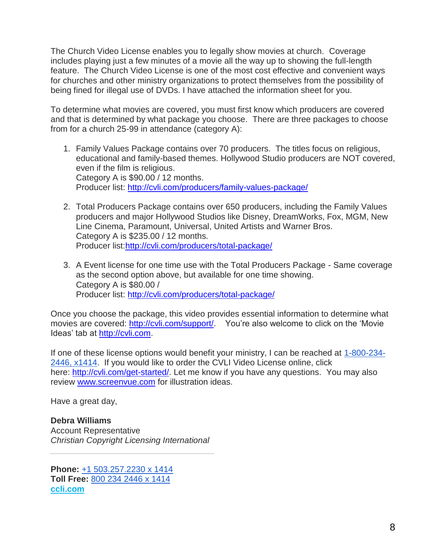The Church Video License enables you to legally show movies at church. Coverage includes playing just a few minutes of a movie all the way up to showing the full-length feature. The Church Video License is one of the most cost effective and convenient ways for churches and other ministry organizations to protect themselves from the possibility of being fined for illegal use of DVDs. I have attached the information sheet for you.

To determine what movies are covered, you must first know which producers are covered and that is determined by what package you choose. There are three packages to choose from for a church 25-99 in attendance (category A):

- 1. Family Values Package contains over 70 producers. The titles focus on religious, educational and family-based themes. Hollywood Studio producers are NOT covered, even if the film is religious. Category A is \$90.00 / 12 months. Producer list: <http://cvli.com/producers/family-values-package/>
- 2. Total Producers Package contains over 650 producers, including the Family Values producers and major Hollywood Studios like Disney, DreamWorks, Fox, MGM, New Line Cinema, Paramount, Universal, United Artists and Warner Bros. Category A is \$235.00 / 12 months. Producer list[:http://cvli.com/producers/total-package/](http://cvli.com/producers/total-package/)
- 3. A Event license for one time use with the Total Producers Package Same coverage as the second option above, but available for one time showing. Category A is \$80.00 / Producer list: <http://cvli.com/producers/total-package/>

Once you choose the package, this video provides essential information to determine what movies are covered: [http://cvli.com/support/.](http://cvli.com/support/) You're also welcome to click on the 'Movie Ideas' tab at [http://cvli.com.](http://cvli.com/)

If one of these license options would benefit your ministry, I can be reached at [1-800-234-](tel:(800)%20234-2446) [2446, x1414.](tel:(800)%20234-2446) If you would like to order the CVLI Video License online, click here: [http://cvli.com/get-started/.](http://cvli.com/get-started/) Let me know if you have any questions. You may also review [www.screenvue.com](http://www.screenvue.com/) for illustration ideas.

Have a great day,

**Debra Williams** Account Representative *Christian Copyright Licensing International*

*\_\_\_\_\_\_\_\_\_\_\_\_\_\_\_\_\_\_\_\_\_\_\_\_\_\_\_\_\_\_\_\_\_\_\_*

**Phone:** [+1 503.257.2230 x 1414](tel:(503)%20257-2230) **Toll Free:** [800 234 2446 x 1414](tel:(800)%20234-2446) **[ccli.com](http://ccli.com/)**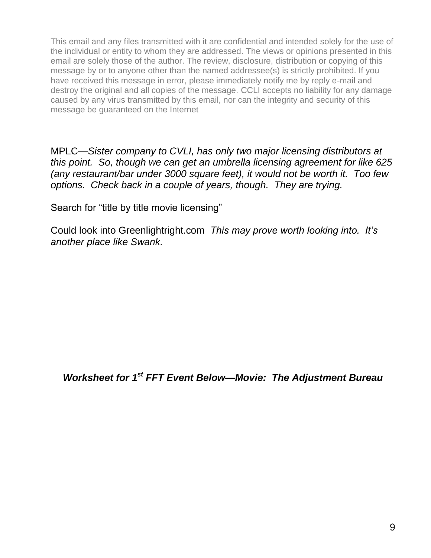This email and any files transmitted with it are confidential and intended solely for the use of the individual or entity to whom they are addressed. The views or opinions presented in this email are solely those of the author. The review, disclosure, distribution or copying of this message by or to anyone other than the named addressee(s) is strictly prohibited. If you have received this message in error, please immediately notify me by reply e-mail and destroy the original and all copies of the message. CCLI accepts no liability for any damage caused by any virus transmitted by this email, nor can the integrity and security of this message be guaranteed on the Internet

MPLC—*Sister company to CVLI, has only two major licensing distributors at this point. So, though we can get an umbrella licensing agreement for like 625 (any restaurant/bar under 3000 square feet), it would not be worth it. Too few options. Check back in a couple of years, though. They are trying.* 

Search for "title by title movie licensing"

Could look into Greenlightright.com *This may prove worth looking into. It's another place like Swank.* 

*Worksheet for 1st FFT Event Below—Movie: The Adjustment Bureau*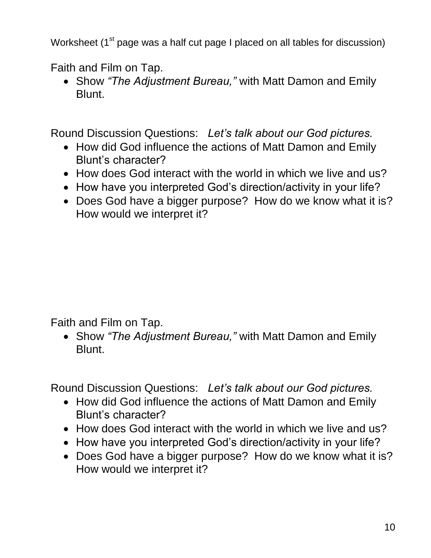Worksheet (1<sup>st</sup> page was a half cut page I placed on all tables for discussion)

Faith and Film on Tap.

 Show *"The Adjustment Bureau,"* with Matt Damon and Emily Blunt.

Round Discussion Questions: *Let's talk about our God pictures.* 

- How did God influence the actions of Matt Damon and Emily Blunt's character?
- How does God interact with the world in which we live and us?
- How have you interpreted God's direction/activity in your life?
- Does God have a bigger purpose? How do we know what it is? How would we interpret it?

Faith and Film on Tap.

 Show *"The Adjustment Bureau,"* with Matt Damon and Emily Blunt.

Round Discussion Questions: *Let's talk about our God pictures.* 

- How did God influence the actions of Matt Damon and Emily Blunt's character?
- How does God interact with the world in which we live and us?
- How have you interpreted God's direction/activity in your life?
- Does God have a bigger purpose? How do we know what it is? How would we interpret it?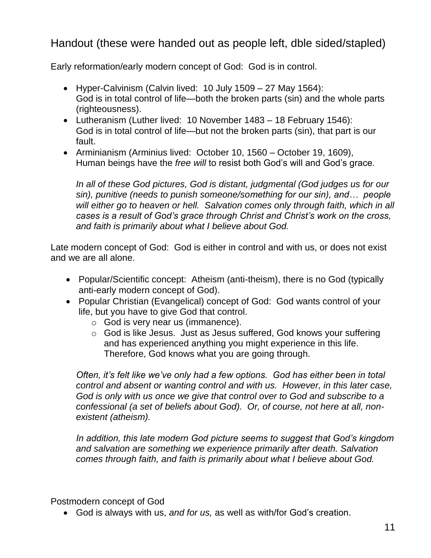Handout (these were handed out as people left, dble sided/stapled)

Early reformation/early modern concept of God: God is in control.

- Hyper-Calvinism (Calvin lived: 10 July 1509 27 May 1564): God is in total control of life—both the broken parts (sin) and the whole parts (righteousness).
- Lutheranism (Luther lived: 10 November 1483 18 February 1546): God is in total control of life—but not the broken parts (sin), that part is our fault.
- Arminianism (Arminius lived: October 10, 1560 October 19, 1609), Human beings have the *free will* to resist both God's will and God's grace.

*In all of these God pictures, God is distant, judgmental (God judges us for our sin), punitive (needs to punish someone/something for our sin), and… people will either go to heaven or hell. Salvation comes only through faith, which in all cases is a result of God's grace through Christ and Christ's work on the cross, and faith is primarily about what I believe about God.* 

Late modern concept of God: God is either in control and with us, or does not exist and we are all alone.

- Popular/Scientific concept: Atheism (anti-theism), there is no God (typically anti-early modern concept of God).
- Popular Christian (Evangelical) concept of God: God wants control of your life, but you have to give God that control.
	- o God is very near us (immanence).
	- o God is like Jesus. Just as Jesus suffered, God knows your suffering and has experienced anything you might experience in this life. Therefore, God knows what you are going through.

*Often, it's felt like we've only had a few options. God has either been in total control and absent or wanting control and with us. However, in this later case, God is only with us once we give that control over to God and subscribe to a confessional (a set of beliefs about God). Or, of course, not here at all, nonexistent (atheism).* 

*In addition, this late modern God picture seems to suggest that God's kingdom and salvation are something we experience primarily after death. Salvation comes through faith, and faith is primarily about what I believe about God.* 

Postmodern concept of God

God is always with us, *and for us,* as well as with/for God's creation.